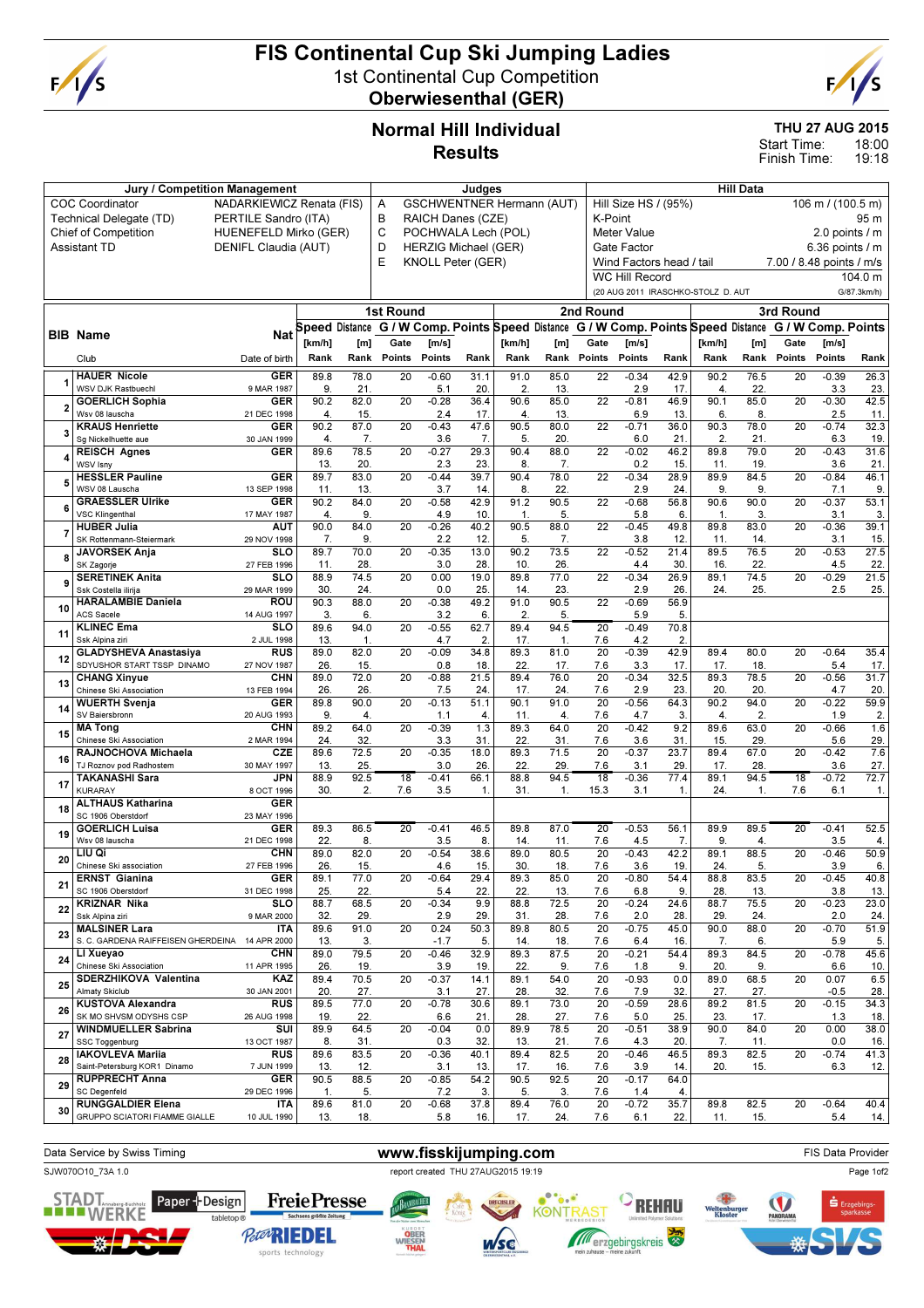

# FIS Continental Cup Ski Jumping Ladies 1st Continental Cup Competition



Oberwiesenthal (GER)

#### THU 27 AUG 2015

18:00 19:18 Start Time: Finish Time:

# Normal Hill Individual **Results**

|                | Jury / Competition Management                               | <b>Judges</b>                         |                       |               |                                                                        |                          |             | <b>Hill Data</b>                                                    |                         |                 |                          |                         |                                    |             |                        |                          |                        |  |  |
|----------------|-------------------------------------------------------------|---------------------------------------|-----------------------|---------------|------------------------------------------------------------------------|--------------------------|-------------|---------------------------------------------------------------------|-------------------------|-----------------|--------------------------|-------------------------|------------------------------------|-------------|------------------------|--------------------------|------------------------|--|--|
|                | NADARKIEWICZ Renata (FIS)<br><b>COC Coordinator</b>         | <b>GSCHWENTNER Hermann (AUT)</b><br>Α |                       |               |                                                                        |                          |             | Hill Size HS / (95%)<br>106 m / (100.5 m)                           |                         |                 |                          |                         |                                    |             |                        |                          |                        |  |  |
|                | Technical Delegate (TD)                                     | PERTILE Sandro (ITA)                  |                       |               | в<br>RAICH Danes (CZE)<br>K-Point                                      |                          |             |                                                                     |                         |                 |                          |                         |                                    | 95 m        |                        |                          |                        |  |  |
|                | <b>Chief of Competition</b>                                 | HUENEFELD Mirko (GER)                 |                       |               | C<br>POCHWALA Lech (POL)<br>Meter Value<br><b>HERZIG Michael (GER)</b> |                          |             |                                                                     |                         |                 |                          |                         | 2.0 points / m                     |             |                        |                          |                        |  |  |
|                | <b>Assistant TD</b>                                         | DENIFL Claudia (AUT)                  |                       |               | D                                                                      |                          |             |                                                                     |                         |                 | Gate Factor              |                         |                                    |             |                        | 6.36 points $/$ m        |                        |  |  |
|                |                                                             |                                       |                       |               | E                                                                      | <b>KNOLL Peter (GER)</b> |             |                                                                     |                         |                 | Wind Factors head / tail |                         |                                    |             |                        | 7.00 / 8.48 points / m/s |                        |  |  |
|                |                                                             |                                       |                       |               |                                                                        |                          |             |                                                                     |                         |                 | WC Hill Record           |                         |                                    |             |                        |                          | 104.0 m                |  |  |
|                |                                                             |                                       |                       |               |                                                                        |                          |             |                                                                     |                         |                 |                          |                         | (20 AUG 2011 IRASCHKO-STOLZ D. AUT |             |                        |                          | G/87.3km/h)            |  |  |
|                |                                                             |                                       |                       |               | 1st Round                                                              |                          |             |                                                                     |                         | 2nd Round       |                          |                         |                                    |             | 3rd Round              |                          |                        |  |  |
|                |                                                             |                                       | <b>Speed Distance</b> |               |                                                                        |                          |             | G / W Comp. Points Speed Distance G / W Comp. Points Speed Distance |                         |                 |                          |                         |                                    |             |                        | G / W Comp. Points       |                        |  |  |
|                | <b>BIB Name</b>                                             | Nat                                   | [km/h]                | [m]           | Gate                                                                   | [m/s]                    |             | [km/h]                                                              | [m]                     | Gate            | [m/s]                    |                         | [km/h]                             | [m]         | Gate                   | [m/s]                    |                        |  |  |
|                | Club                                                        | Date of birth                         | Rank                  | Rank          | Points                                                                 | Points                   | Rank        | Rank                                                                | Rank                    | Points          | Points                   | Rank                    | Rank                               | Rank        | Points                 | Points                   | Rank                   |  |  |
|                | <b>HAUER Nicole</b>                                         | <b>GER</b>                            | 89.8                  | 78.0          | $\overline{20}$                                                        | $-0.60$                  | 31.1        | 91.0                                                                | 85.0                    | $\overline{22}$ | $-0.34$                  | 42.9                    | 90.2                               | 76.5        | 20                     | $-0.39$                  | 26.3                   |  |  |
|                | WSV DJK Rastbuechl                                          | 9 MAR 1987                            | 9.                    | 21.           |                                                                        | 5.1                      | 20.         | 2.                                                                  | 13                      |                 | 2.9                      | 17.                     | 4.                                 | 22.         |                        | 3.3                      | 23.                    |  |  |
| $\overline{2}$ | <b>GOERLICH Sophia</b>                                      | <b>GER</b>                            | 90.2                  | 82.0          | 20                                                                     | $-0.28$                  | 36.4        | 90.6                                                                | 85.0                    | 22              | $-0.81$                  | 46.9                    | 90.1                               | 85.0        | $\overline{20}$        | $-0.30$                  | 42.5                   |  |  |
|                | Wsv 08 lauscha<br><b>KRAUS Henriette</b>                    | 21 DEC 1998<br>GER                    | 4.<br>90.2            | 15.<br>87.0   | 20                                                                     | 2.4<br>$-0.43$           | 17.<br>47.6 | 4.<br>90.5                                                          | 13.<br>80.0             | $\overline{22}$ | 6.9<br>$-0.71$           | 13 <sub>1</sub><br>36.0 | 6.<br>90.3                         | 8.<br>78.0  | 20                     | 2.5<br>$-0.74$           | 11.<br>32.3            |  |  |
| 3              | Sg Nickelhuette aue                                         | 30 JAN 1999                           | 4.                    | 7.            |                                                                        | 3.6                      | 7.          | 5.                                                                  | 20                      |                 | 6.0                      | 21                      | 2.                                 | 21.         |                        | 6.3                      | 19.                    |  |  |
| 4              | <b>REISCH Agnes</b>                                         | <b>GER</b>                            | 89.6                  | 78.5          | 20                                                                     | $-0.27$                  | 29.3        | 90.4                                                                | 88.0                    | 22              | $-0.02$                  | 46.2                    | 89.8                               | 79.0        | 20                     | $-0.43$                  | 31.6                   |  |  |
|                | <b>WSV Isnv</b>                                             |                                       | 13.                   | 20.           |                                                                        | 2.3                      | 23.         | 8.                                                                  | 7.                      |                 | 0.2                      | 15.                     | 11.                                | 19.         |                        | 3.6                      | 21.                    |  |  |
| 5              | <b>HESSLER Pauline</b><br>WSV 08 Lauscha                    | <b>GER</b><br>13 SEP 1998             | 89.7<br>11.           | 83.0<br>13.   | 20                                                                     | $-0.44$<br>3.7           | 39.7<br>14. | 90.4<br>8                                                           | 78.0<br>22              | 22              | $-0.34$<br>2.9           | 28.9<br>24              | 89.9<br>9.                         | 84.5<br>9.  | 20                     | $-0.84$<br>7.1           | 46.1<br>9.             |  |  |
|                | <b>GRAESSLER Ulrike</b>                                     | <b>GER</b>                            | 90.2                  | 84.0          | 20                                                                     | $-0.58$                  | 42.9        | 91.2                                                                | 90.5                    | 22              | $-0.68$                  | 56.8                    | 90.6                               | 90.0        | 20                     | $-0.37$                  | 53.1                   |  |  |
| 6              | <b>VSC Klingenthal</b>                                      | 17 MAY 1987                           | 4.                    | 9.            |                                                                        | 4.9                      | 10.         | $\mathbf{1}$ .                                                      | 5.                      |                 | 5.8                      | 6.                      | $\mathbf{1}$                       | 3.          |                        | 3.1                      | 3.                     |  |  |
| $\overline{7}$ | <b>HUBER Julia</b>                                          | <b>AUT</b>                            | 90.0                  | 84.0          | 20                                                                     | $-0.26$                  | 40.2        | 90.5                                                                | 88.0                    | 22              | $-0.45$                  | 49.8                    | 89.8                               | 83.0        | 20                     | $-0.36$                  | 39.1                   |  |  |
|                | SK Rottenmann-Steiermark<br><b>JAVORSEK Ania</b>            | 29 NOV 1998<br><b>SLO</b>             | 7.<br>89.7            | 9.<br>70.0    | 20                                                                     | 2.2<br>$-0.35$           | 12.<br>13.0 | 5.<br>90.2                                                          | 7.<br>73.5              | 22              | 3.8<br>$-0.52$           | 12.<br>21.4             | 11.<br>89.5                        | 14.<br>76.5 | 20                     | 3.1<br>$-0.53$           | 15.<br>27.5            |  |  |
| 8              | SK Zagorje                                                  | 27 FEB 1996                           | 11.                   | 28.           |                                                                        | 3.0                      | 28.         | 10                                                                  | 26                      |                 | 4.4                      | 30.                     | 16.                                | 22.         |                        | 4.5                      | 22.                    |  |  |
| 9              | <b>SERETINEK Anita</b>                                      | slo                                   | 88.9                  | 74.5          | $\overline{20}$                                                        | 0.00                     | 19.0        | 89.8                                                                | 77.0                    | $\overline{22}$ | $-0.34$                  | 26.9                    | 89.1                               | 74.5        | 20                     | $-0.29$                  | 21.5                   |  |  |
|                | Ssk Costella ilirija                                        | 29 MAR 1999                           | 30                    | 24.           |                                                                        | 0.0                      | 25.         | 14                                                                  | 23.                     |                 | 2.9                      | 26                      | 24.                                | 25.         |                        | 2.5                      | 25.                    |  |  |
| 10             | <b>HARALAMBIE Daniela</b><br>ACS Sacele                     | <b>ROU</b><br>14 AUG 1997             | 90.3<br>3.            | 88.0<br>6.    | 20                                                                     | $-0.38$<br>3.2           | 49.2<br>6.  | 91.0<br>2.                                                          | 90.5<br>5.              | 22              | $-0.69$<br>5.9           | 56.9<br>5.              |                                    |             |                        |                          |                        |  |  |
|                | <b>KLINEC Ema</b>                                           | $\overline{\text{SLO}}$               | 89.6                  | 94.0          | 20                                                                     | $-0.55$                  | 62.7        | 89.4                                                                | 94.5                    | 20              | $-0.49$                  | 70.8                    |                                    |             |                        |                          |                        |  |  |
| 11             | Ssk Alpina ziri                                             | 2 JUL 1998                            | 13.                   | $\mathbf 1$ . |                                                                        | 4.7                      | 2.          | 17.                                                                 | 1.                      | 7.6             | 4.2                      | 2.                      |                                    |             |                        |                          |                        |  |  |
| 12             | <b>GLADYSHEVA Anastasiya</b>                                | <b>RUS</b>                            | 89.0                  | 82.0          | $\overline{20}$                                                        | $-0.09$                  | 34.8        | 89.3                                                                | 81.0                    | 20              | $-0.39$                  | 42.9                    | 89.4                               | 80.0        | 20                     | $-0.64$                  | 35.4                   |  |  |
|                | SDYUSHOR START TSSP DINAMO<br><b>CHANG Xinyue</b>           | 27 NOV 1987<br><b>CHN</b>             | 26.<br>89.0           | 15.<br>72.0   | 20                                                                     | 0.8<br>$-0.88$           | 18.<br>21.5 | 22<br>89.4                                                          | 17 <sub>1</sub><br>76.0 | 7.6<br>20       | 3.3<br>$-0.34$           | 17 <sub>2</sub><br>32.5 | 17.<br>89.3                        | 18.<br>78.5 | $\overline{20}$        | 5.4<br>$-0.56$           | 17.<br>31.7            |  |  |
| 13             | Chinese Ski Association                                     | 13 FEB 1994                           | 26.                   | 26.           |                                                                        | 7.5                      | 24.         | 17.                                                                 | 24.                     | 7.6             | 2.9                      | 23                      | 20.                                | 20.         |                        | 4.7                      | 20.                    |  |  |
| 14             | <b>WUERTH Svenja</b>                                        | <b>GER</b>                            | 89.8                  | 90.0          | 20                                                                     | $-0.13$                  | 51.1        | 90.1                                                                | 91.0                    | 20              | $-0.56$                  | 64.3                    | 90.2                               | 94.0        | 20                     | $-0.22$                  | 59.9                   |  |  |
|                | SV Baiersbronn<br><b>MA Tong</b>                            | 20 AUG 1993<br><b>CHN</b>             | 9.<br>89.2            | 4.<br>64.0    | 20                                                                     | 1.1<br>$-0.39$           | 4.<br>1.3   | 11.<br>89.3                                                         | 4.<br>64.0              | 7.6<br>20       | 4.7<br>$-0.42$           | 3.<br>9.2               | 4.<br>89.6                         | 2.<br>63.0  | 20                     | 1.9<br>$-0.66$           | 2.<br>1.6              |  |  |
| 15             | Chinese Ski Association                                     | 2 MAR 1994                            | 24.                   | 32.           |                                                                        | 3.3                      | 31.         | 22                                                                  | 31.                     | 7.6             | 3.6                      | 31.                     | 15.                                | 29.         |                        | 5.6                      | 29.                    |  |  |
| 16             | RAJNOCHOVA Michaela                                         | <b>CZE</b>                            | 89.6                  | 72.5          | $\overline{20}$                                                        | $-0.35$                  | 18.0        | 89.3                                                                | 71.5                    | 20              | $-0.37$                  | 23.7                    | 89.4                               | 67.0        | $\overline{20}$        | $-0.42$                  | 7.6                    |  |  |
|                | TJ Roznov pod Radhostem                                     | 30 MAY 1997                           | 13.                   | 25.           |                                                                        | 3.0                      | 26.         | 22                                                                  | 29                      | 7.6             | 3.1                      | 29.                     | 17.                                | 28.         |                        | 3.6                      | 27.                    |  |  |
| 17             | <b>TAKANASHI Sara</b><br><b>KURARAY</b>                     | JPN<br>8 OCT 1996                     | 88.9<br>30.           | 92.5<br>2.    | $\overline{18}$<br>7.6                                                 | $-0.41$<br>3.5           | 66.1<br>1.  | 88.8<br>31.                                                         | 94.5<br>$\mathbf{1}$ .  | 18<br>15.3      | $-0.36$<br>3.1           | 77.4<br>1.              | 89.1<br>24.                        | 94.5<br>1.  | $\overline{18}$<br>7.6 | $-0.72$<br>6.1           | 72.7<br>$\mathbf{1}$ . |  |  |
| 18             | <b>ALTHAUS Katharina</b>                                    | <b>GER</b>                            |                       |               |                                                                        |                          |             |                                                                     |                         |                 |                          |                         |                                    |             |                        |                          |                        |  |  |
|                | SC 1906 Oberstdorf                                          | 23 MAY 1996                           |                       |               |                                                                        |                          |             |                                                                     |                         |                 |                          |                         |                                    |             |                        |                          |                        |  |  |
| 19             | <b>GOERLICH Luisa</b><br>Wsv 08 lauscha                     | <b>GER</b><br>21 DEC 1998             | 89.3<br>22.           | 86.5<br>8.    | $\overline{20}$                                                        | $-0.41$<br>3.5           | 46.5<br>8.  | 89.8<br>14                                                          | 87.0<br>11.             | 20<br>7.6       | $-0.53$<br>4.5           | 56.1<br>7.              | 89.9<br>9.                         | 89.5<br>4.  | 20                     | $-0.41$<br>3.5           | 52.5<br>4.             |  |  |
|                | LIU Qi                                                      | <b>CHN</b>                            | 89.0                  | 82.0          | 20                                                                     | $-0.54$                  | 38.6        | 89.0                                                                | 80.5                    | 20              | $-0.43$                  | 42.2                    | 89.1                               | 88.5        | 20                     | $-0.46$                  | 50.9                   |  |  |
| 20             | Chinese Ski association                                     | 27 FEB 1996                           | 26.                   | 15.           |                                                                        | 4.6                      | 15.         | 30.                                                                 | 18                      | 7.6             | 3.6                      | 19.                     | 24.                                | 5.          |                        | 3.9                      | 6.                     |  |  |
| 21             | <b>ERNST Gianina</b><br>SC 1906 Oberstdorf                  | GER                                   | 89.1                  | 77.0          | 20                                                                     | $-0.64$                  | 29.4        | 89.3                                                                | 85.0                    | 20              | $-0.80$                  | 54.4                    | 88.8                               | 83.5        | 20                     | $-0.45$                  | 40.8                   |  |  |
|                | <b>KRIZNAR Nika</b>                                         | 31 DEC 1998<br><b>SLO</b>             | 25.<br>88.7           | 22.<br>68.5   | $\overline{20}$                                                        | 5.4<br>$-0.34$           | 22.<br>9.9  | 22.<br>88.8                                                         | 13.<br>72.5             | 7.6<br>20       | 6.8<br>$-0.24$           | 9.<br>24.6              | 28.<br>88.7                        | 13.<br>75.5 | $\overline{20}$        | 3.8<br>$-0.23$           | 13.<br>23.0            |  |  |
| 22             | Ssk Alpina ziri                                             | 9 MAR 2000                            | 32.                   | 29.           |                                                                        | 2.9                      | 29.         | 31.                                                                 | 28.                     | 7.6             | 2.0                      | 28.                     | 29.                                | 24.         |                        | 2.0                      | 24.                    |  |  |
| 23             | <b>MALSINER Lara</b>                                        | ITA                                   | 89.6                  | 91.0          | 20                                                                     | 0.24                     | 50.3        | 89.8                                                                | 80.5                    | 20              | $-0.75$                  | 45.0                    | 90.0                               | 88.0        | 20                     | $-0.70$                  | 51.9                   |  |  |
|                | S. C. GARDENA RAIFFEISEN GHERDEINA 14 APR 2000<br>LI Xuevao | <b>CHN</b>                            | 13.<br>89.0           | 3.<br>79.5    | 20                                                                     | $-1.7$<br>$-0.46$        | 5.<br>32.9  | 14.<br>89.3                                                         | 18.<br>87.5             | 7.6<br>20       | 6.4<br>$-0.21$           | 16.<br>54.4             | 7.<br>89.3                         | 6.<br>84.5  | 20                     | 5.9<br>$-0.78$           | 5.<br>45.6             |  |  |
| 24             | Chinese Ski Association                                     | 11 APR 1995                           | 26.                   | 19.           |                                                                        | 3.9                      | 19.         | 22.                                                                 | 9.                      | 7.6             | 1.8                      | 9.                      | 20.                                | 9.          |                        | 6.6                      | 10.                    |  |  |
| 25             | SDERZHIKOVA Valentina                                       | KAZ                                   | 89.4                  | 70.5          | 20                                                                     | $-0.37$                  | 14.1        | 89.1                                                                | 54.0                    | 20              | $-0.93$                  | 0.0                     | 89.0                               | 68.5        | 20                     | 0.07                     | 6.5                    |  |  |
|                | Almaty Skiclub<br><b>KUSTOVA Alexandra</b>                  | 30 JAN 2001<br><b>RUS</b>             | 20.<br>89.5           | 27.<br>77.0   | 20                                                                     | 3.1<br>$-0.78$           | 27.<br>30.6 | 28<br>89.1                                                          | 32.<br>73.0             | 7.6<br>20       | 7.9<br>$-0.59$           | 32.<br>28.6             | 27.<br>89.2                        | 27.<br>81.5 | 20                     | $-0.5$<br>$-0.15$        | 28.<br>34.3            |  |  |
| 26             | SK MO SHVSM ODYSHS CSP                                      | 26 AUG 1998                           | 19.                   | 22.           |                                                                        | 6.6                      | 21.         | 28.                                                                 | 27.                     | 7.6             | 5.0                      | 25.                     | 23.                                | 17.         |                        | 1.3                      | 18.                    |  |  |
| 27             | <b>WINDMUELLER Sabrina</b>                                  | SUI                                   | 89.9                  | 64.5          | 20                                                                     | $-0.04$                  | 0.0         | 89.9                                                                | 78.5                    | 20              | $-0.51$                  | 38.9                    | 90.0                               | 84.0        | 20                     | 0.00                     | 38.0                   |  |  |
|                | SSC Toggenburg                                              | 13 OCT 1987                           | 8.                    | 31.           |                                                                        | 0.3                      | 32.         | 13.                                                                 | 21.                     | 7.6             | 4.3                      | 20.                     | 7.                                 | 11.         |                        | 0.0                      | 16.                    |  |  |
| 28             | <b>IAKOVLEVA Mariia</b><br>Saint-Petersburg KOR1 Dinamo     | <b>RUS</b><br>7 JUN 1999              | 89.6<br>13.           | 83.5<br>12.   | 20                                                                     | $-0.36$<br>3.1           | 40.1<br>13. | 89.4<br>17.                                                         | 82.5<br>16.             | 20<br>7.6       | $-0.46$<br>3.9           | 46.5<br>14.             | 89.3<br>20.                        | 82.5<br>15. | 20                     | $-0.74$<br>6.3           | 41.3<br>12.            |  |  |
| 29             | <b>RUPPRECHT Anna</b>                                       | <b>GER</b>                            | 90.5                  | 88.5          | $\overline{20}$                                                        | $-0.85$                  | 54.2        | 90.5                                                                | 92.5                    | $\overline{20}$ | $-0.17$                  | 64.0                    |                                    |             |                        |                          |                        |  |  |
|                | <b>SC Degenfeld</b>                                         | 29 DEC 1996                           | 1.                    | 5.            |                                                                        | 7.2                      | 3.          | 5.                                                                  | 3.                      | 7.6             | 1.4                      | 4.                      |                                    |             |                        |                          |                        |  |  |
| 30             | <b>RUNGGALDIER Elena</b><br>GRUPPO SCIATORI FIAMME GIALLE   | ITA<br>10 JUL 1990                    | 89.6<br>13.           | 81.0<br>18.   | 20                                                                     | $-0.68$<br>5.8           | 37.8<br>16. | 89.4<br>17.                                                         | 76.0<br>24.             | 20<br>7.6       | $-0.72$<br>6.1           | 35.7<br>22.             | 89.8<br>11.                        | 82.5<br>15. | 20                     | $-0.64$<br>5.4           | 40.4<br>14.            |  |  |
|                |                                                             |                                       |                       |               |                                                                        |                          |             |                                                                     |                         |                 |                          |                         |                                    |             |                        |                          |                        |  |  |